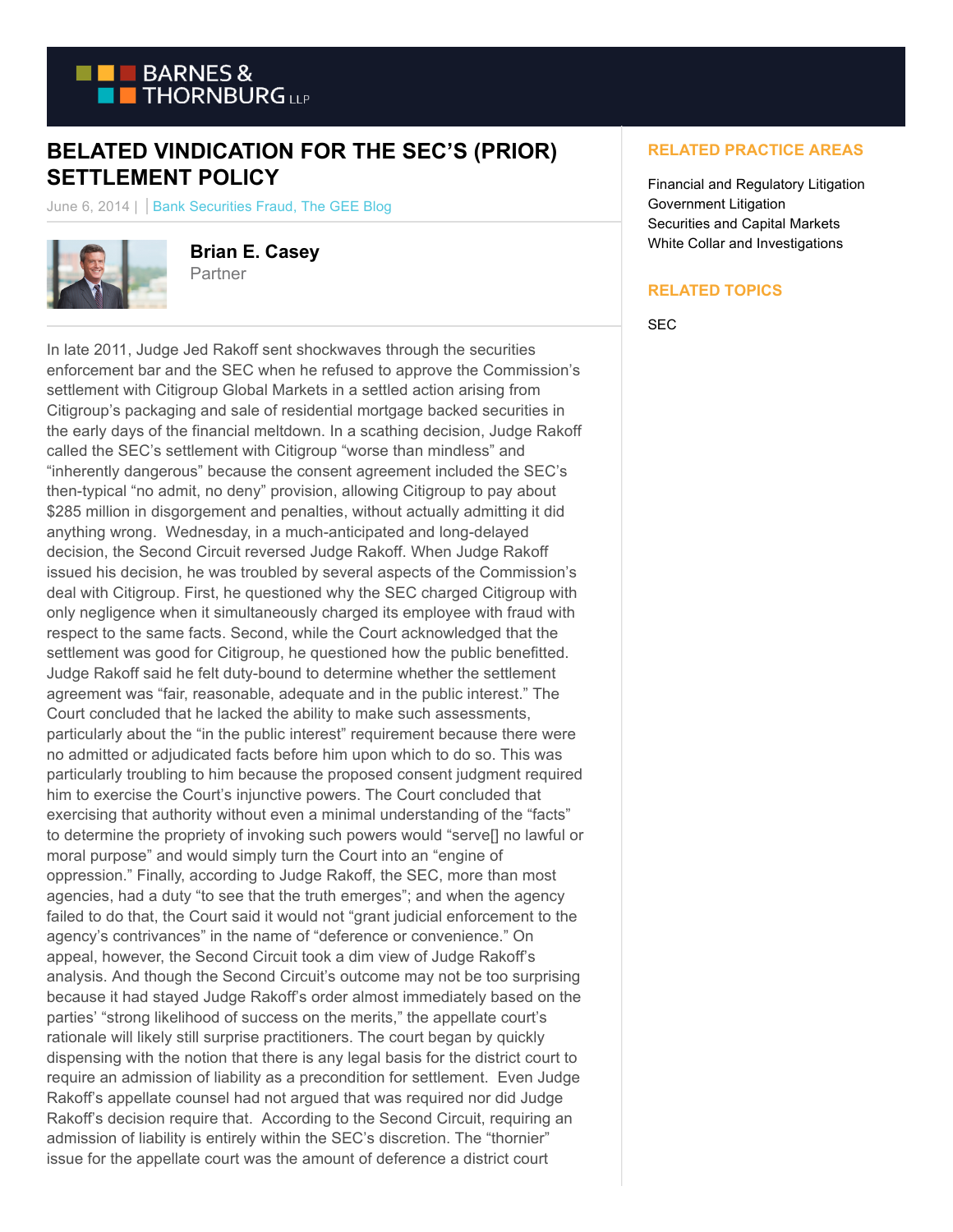

## **BELATED VINDICATION FOR THE SEC'S (PRIOR) SETTLEMENT POLICY**

June 6, 2014 | | Bank Securities Fraud, The GEE Blog



**Brian E. Casey** Partner

In late 2011, Judge Jed Rakoff sent shockwaves through the securities enforcement bar and the SEC when he refused to approve the Commission's settlement with Citigroup Global Markets in a settled action arising from Citigroup's packaging and sale of residential mortgage backed securities in the early days of the financial meltdown. In a scathing decision, Judge Rakoff called the SEC's settlement with Citigroup "worse than mindless" and "inherently dangerous" because the consent agreement included the SEC's then-typical "no admit, no deny" provision, allowing Citigroup to pay about \$285 million in disgorgement and penalties, without actually admitting it did anything wrong. Wednesday, in a much-anticipated and long-delayed decision, the Second Circuit reversed Judge Rakoff. When Judge Rakoff issued his decision, he was troubled by several aspects of the Commission's deal with Citigroup. First, he questioned why the SEC charged Citigroup with only negligence when it simultaneously charged its employee with fraud with respect to the same facts. Second, while the Court acknowledged that the settlement was good for Citigroup, he questioned how the public benefitted. Judge Rakoff said he felt duty-bound to determine whether the settlement agreement was "fair, reasonable, adequate and in the public interest." The Court concluded that he lacked the ability to make such assessments, particularly about the "in the public interest" requirement because there were no admitted or adjudicated facts before him upon which to do so. This was particularly troubling to him because the proposed consent judgment required him to exercise the Court's injunctive powers. The Court concluded that exercising that authority without even a minimal understanding of the "facts" to determine the propriety of invoking such powers would "serve[] no lawful or moral purpose" and would simply turn the Court into an "engine of oppression." Finally, according to Judge Rakoff, the SEC, more than most agencies, had a duty "to see that the truth emerges"; and when the agency failed to do that, the Court said it would not "grant judicial enforcement to the agency's contrivances" in the name of "deference or convenience." On appeal, however, the Second Circuit took a dim view of Judge Rakoff's analysis. And though the Second Circuit's outcome may not be too surprising because it had stayed Judge Rakoff's order almost immediately based on the parties' "strong likelihood of success on the merits," the appellate court's rationale will likely still surprise practitioners. The court began by quickly dispensing with the notion that there is any legal basis for the district court to require an admission of liability as a precondition for settlement. Even Judge Rakoff's appellate counsel had not argued that was required nor did Judge Rakoff's decision require that. According to the Second Circuit, requiring an admission of liability is entirely within the SEC's discretion. The "thornier" issue for the appellate court was the amount of deference a district court

## **RELATED PRACTICE AREAS**

Financial and Regulatory Litigation Government Litigation Securities and Capital Markets White Collar and Investigations

## **RELATED TOPICS**

SEC